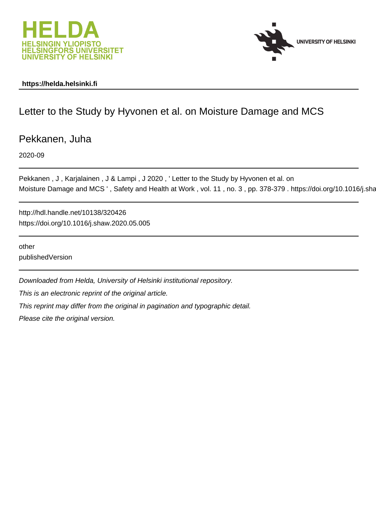



## **https://helda.helsinki.fi**

## Letter to the Study by Hyvonen et al. on Moisture Damage and MCS

Pekkanen, Juha

2020-09

Pekkanen, J, Karjalainen, J & Lampi, J 2020, 'Letter to the Study by Hyvonen et al. on Moisture Damage and MCS ', Safety and Health at Work, vol. 11, no. 3, pp. 378-379. https://doi.org/10.1016/j.sha

http://hdl.handle.net/10138/320426 https://doi.org/10.1016/j.shaw.2020.05.005

other publishedVersion

Downloaded from Helda, University of Helsinki institutional repository. This is an electronic reprint of the original article. This reprint may differ from the original in pagination and typographic detail. Please cite the original version.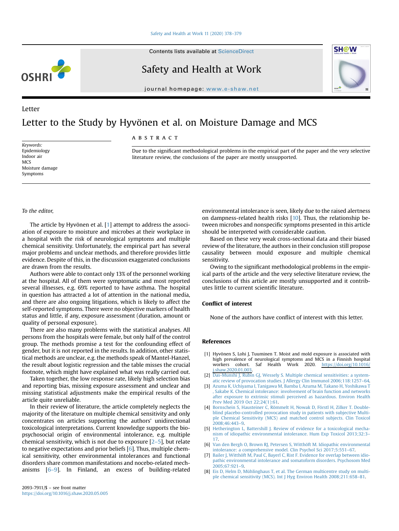Contents lists available at ScienceDirect

# OSHR





### Letter

## Letter to the Study by Hyvönen et al. on Moisture Damage and MCS

ABSTRACT

Keywords: Epidemiology Indoor air **MCS** Moisture damage Symptoms

Due to the significant methodological problems in the empirical part of the paper and the very selective literature review, the conclusions of the paper are mostly unsupported.

#### To the editor,

The article by Hyvönen et al. [1] attempt to address the association of exposure to moisture and microbes at their workplace in a hospital with the risk of neurological symptoms and multiple chemical sensitivity. Unfortunately, the empirical part has several major problems and unclear methods, and therefore provides little evidence. Despite of this, in the discussion exaggerated conclusions are drawn from the results.

Authors were able to contact only 13% of the personnel working at the hospital. All of them were symptomatic and most reported several illnesses, e.g. 69% reported to have asthma. The hospital in question has attracted a lot of attention in the national media, and there are also ongoing litigations, which is likely to affect the self-reported symptoms. There were no objective markers of health status and little, if any, exposure assessment (duration, amount or quality of personal exposure).

There are also many problems with the statistical analyses. All persons from the hospitals were female, but only half of the control group. The methods promise a test for the confounding effect of gender, but it is not reported in the results. In addition, other statistical methods are unclear, e.g. the methods speak of Mantel-Hanzel, the result about logistic regression and the table misses the crucial footnote, which might have explained what was really carried out.

Taken together, the low response rate, likely high selection bias and reporting bias, missing exposure assessment and unclear and missing statistical adjustments make the empirical results of the article quite unreliable.

In their review of literature, the article completely neglects the majority of the literature on multiple chemical sensitivity and only concentrates on articles supporting the authors' unidirectional toxicological interpretations. Current knowledge supports the biopsychosocial origin of environmental intolerance, e.g. multiple chemical sensitivity, which is not due to exposure [2–5], but relate to negative expectations and prior beliefs [6]. Thus, multiple chemical sensitivity, other environmental intolerances and functional disorders share common manifestations and nocebo-related mechanisms [6–9]. In Finland, an excess of building-related environmental intolerance is seen, likely due to the raised alertness on dampness-related health risks [10]. Thus, the relationship between microbes and nonspecific symptoms presented in this article should be interpreted with considerable caution.

**SH@W** 

Based on these very weak cross-sectional data and their biased review of the literature, the authors in their conclusion still propose causality between mould exposure and multiple chemical sensitivity.

Owing to the significant methodological problems in the empirical parts of the article and the very selective literature review, the conclusions of this article are mostly unsupported and it contributes little to current scientific literature.

## Conflict of interest

None of the authors have conflict of interest with this letter.

#### References

- [1] Hyvönen S, Lohi J, Tuuminen T. Moist and mold exposure is associated with high prevalence of neurological symptoms and MCS in a Finnish hospital workers cohort. Saf Health Work 2020. [https://doi.org/10.1016/](https://doi.org/10.1016/j.shaw.2020.01.003) [j.shaw.2020.01.003.](https://doi.org/10.1016/j.shaw.2020.01.003)
- [2] [Das-Munshi J, Rubin GJ, Wessely S. Multiple chemical sensitivities: a system](http://refhub.elsevier.com/S2093-7911(20)30279-1/sref2)[atic review of provocation studies. J Allergy Clin Immunol 2006;118:1257](http://refhub.elsevier.com/S2093-7911(20)30279-1/sref2)–64.
- [3] [Azuma K, Uchiyama I, Tanigawa M, Bamba I, Azuma M, Takano H, Yoshikawa T](http://refhub.elsevier.com/S2093-7911(20)30279-1/sref3) [, Sakabe K. Chemical intolerance: involvement of brain function and networks](http://refhub.elsevier.com/S2093-7911(20)30279-1/sref3) [after exposure to extrinsic stimuli perceived as hazardous. Environ Health](http://refhub.elsevier.com/S2093-7911(20)30279-1/sref3) [Prev Med 2019 Oct 22;24\(1\):61.](http://refhub.elsevier.com/S2093-7911(20)30279-1/sref3)
- [4] [Bornschein S, Hausteiner C, Römmelt H, Nowak D, Förstl H, Zilker T. Double](http://refhub.elsevier.com/S2093-7911(20)30279-1/sref4)[blind placebo-controlled provocation study in patients with subjective Multi](http://refhub.elsevier.com/S2093-7911(20)30279-1/sref4)[ple Chemical Sensitivity \(MCS\) and matched control subjects. Clin Toxicol](http://refhub.elsevier.com/S2093-7911(20)30279-1/sref4) [2008;46:443](http://refhub.elsevier.com/S2093-7911(20)30279-1/sref4)–9.
- [5] [Hetherington L, Battershill J. Review of evidence for a toxicological mecha](http://refhub.elsevier.com/S2093-7911(20)30279-1/sref5)[nism of idiopathic environmental intolerance. Hum Exp Toxicol 2013;32:3](http://refhub.elsevier.com/S2093-7911(20)30279-1/sref5)– [17](http://refhub.elsevier.com/S2093-7911(20)30279-1/sref5).
- [6] [Van den Bergh O, Brown RJ, Petersen S, Witthöft M. Idiopathic environmental](http://refhub.elsevier.com/S2093-7911(20)30279-1/sref6) [intolerance: a comprehensive model. Clin Psychol Sci 2017;5:551](http://refhub.elsevier.com/S2093-7911(20)30279-1/sref6)–67.
- [7] [Bailer J, Witthöft M, Paul C, Bayerl C, Rist F. Evidence for overlap between idio](http://refhub.elsevier.com/S2093-7911(20)30279-1/sref7)[pathic environmental intolerance and somatoform disorders. Psychosom Med](http://refhub.elsevier.com/S2093-7911(20)30279-1/sref7) [2005;67:921](http://refhub.elsevier.com/S2093-7911(20)30279-1/sref7)–9.
- [8] [Eis D, Helm D, Mühlinghaus T, et al. The German multicentre study on multi](http://refhub.elsevier.com/S2093-7911(20)30279-1/sref8)[ple chemical sensitivity \(MCS\). Int J Hyg Environ Health 2008;211:658](http://refhub.elsevier.com/S2093-7911(20)30279-1/sref8)–81.